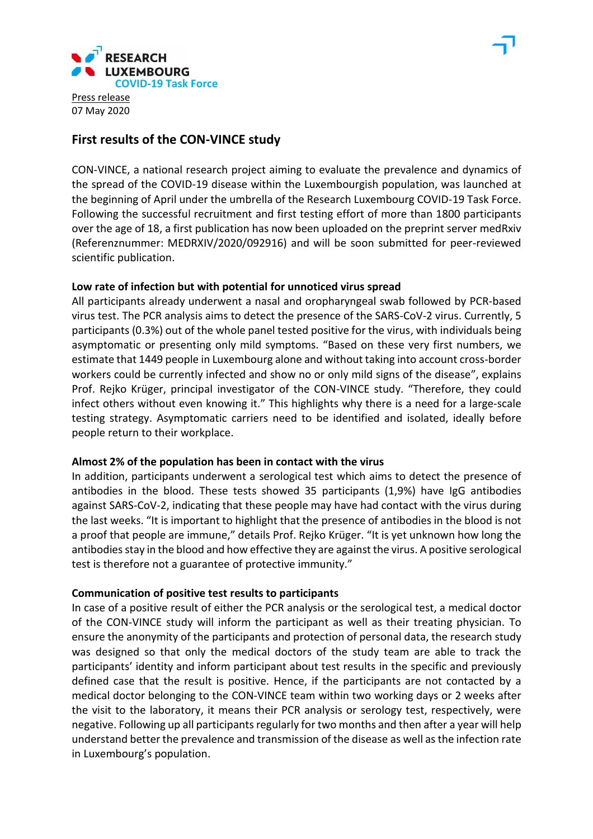

# **First results of the CON-VINCE study**

CON-VINCE, a national research project aiming to evaluate the prevalence and dynamics of the spread of the COVID-19 disease within the Luxembourgish population, was launched at the beginning of April under the umbrella of the Research Luxembourg COVID-19 Task Force. Following the successful recruitment and first testing effort of more than 1800 participants over the age of 18, a first publication has now been uploaded on the preprint server medRxiv (Referenznummer: MEDRXIV/2020/092916) and will be soon submitted for peer-reviewed scientific publication.

## **Low rate of infection but with potential for unnoticed virus spread**

All participants already underwent a nasal and oropharyngeal swab followed by PCR-based virus test. The PCR analysis aims to detect the presence of the SARS-CoV-2 virus. Currently, 5 participants (0.3%) out of the whole panel tested positive for the virus, with individuals being asymptomatic or presenting only mild symptoms. "Based on these very first numbers, we estimate that 1449 people in Luxembourg alone and without taking into account cross-border workers could be currently infected and show no or only mild signs of the disease", explains Prof. Rejko Krüger, principal investigator of the CON-VINCE study. "Therefore, they could infect others without even knowing it." This highlights why there is a need for a large-scale testing strategy. Asymptomatic carriers need to be identified and isolated, ideally before people return to their workplace.

## **Almost 2% of the population has been in contact with the virus**

In addition, participants underwent a serological test which aims to detect the presence of antibodies in the blood. These tests showed 35 participants (1,9%) have IgG antibodies against SARS-CoV-2, indicating that these people may have had contact with the virus during the last weeks. "It is important to highlight that the presence of antibodies in the blood is not a proof that people are immune," details Prof. Rejko Krüger. "It is yet unknown how long the antibodies stay in the blood and how effective they are against the virus. A positive serological test is therefore not a guarantee of protective immunity."

## **Communication of positive test results to participants**

In case of a positive result of either the PCR analysis or the serological test, a medical doctor of the CON-VINCE study will inform the participant as well as their treating physician. To ensure the anonymity of the participants and protection of personal data, the research study was designed so that only the medical doctors of the study team are able to track the participants' identity and inform participant about test results in the specific and previously defined case that the result is positive. Hence, if the participants are not contacted by a medical doctor belonging to the CON-VINCE team within two working days or 2 weeks after the visit to the laboratory, it means their PCR analysis or serology test, respectively, were negative. Following up all participants regularly for two months and then after a year will help understand better the prevalence and transmission of the disease as well as the infection rate in Luxembourg's population.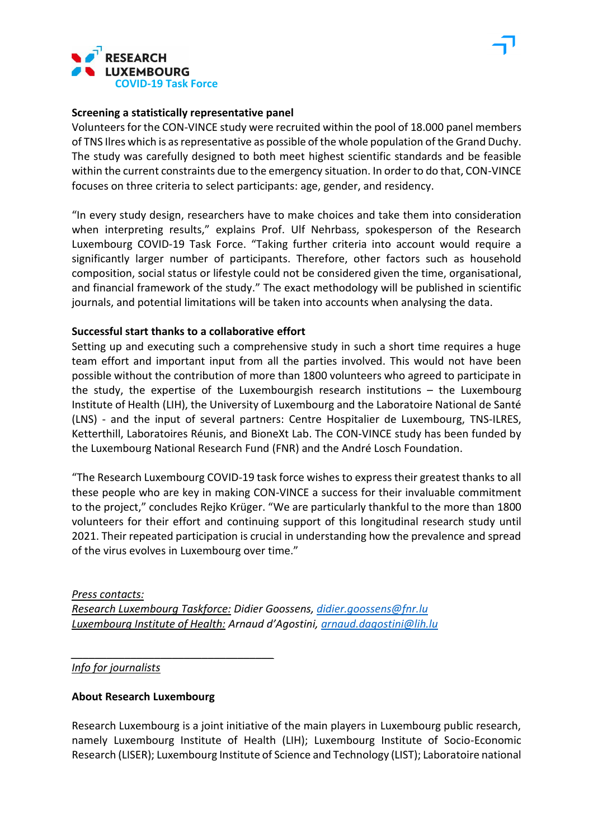



#### **Screening a statistically representative panel**

Volunteers for the CON-VINCE study were recruited within the pool of 18.000 panel members of TNS Ilres which is as representative as possible of the whole population of the Grand Duchy. The study was carefully designed to both meet highest scientific standards and be feasible within the current constraints due to the emergency situation. In order to do that, CON-VINCE focuses on three criteria to select participants: age, gender, and residency.

"In every study design, researchers have to make choices and take them into consideration when interpreting results," explains Prof. Ulf Nehrbass, spokesperson of the Research Luxembourg COVID-19 Task Force. "Taking further criteria into account would require a significantly larger number of participants. Therefore, other factors such as household composition, social status or lifestyle could not be considered given the time, organisational, and financial framework of the study." The exact methodology will be published in scientific journals, and potential limitations will be taken into accounts when analysing the data.

#### **Successful start thanks to a collaborative effort**

Setting up and executing such a comprehensive study in such a short time requires a huge team effort and important input from all the parties involved. This would not have been possible without the contribution of more than 1800 volunteers who agreed to participate in the study, the expertise of the Luxembourgish research institutions – the Luxembourg Institute of Health (LIH), the University of Luxembourg and the Laboratoire National de Santé (LNS) - and the input of several partners: Centre Hospitalier de Luxembourg, TNS-ILRES, Ketterthill, Laboratoires Réunis, and BioneXt Lab. The CON-VINCE study has been funded by the Luxembourg National Research Fund (FNR) and the André Losch Foundation.

"The Research Luxembourg COVID-19 task force wishes to express their greatest thanks to all these people who are key in making CON-VINCE a success for their invaluable commitment to the project," concludes Rejko Krüger. "We are particularly thankful to the more than 1800 volunteers for their effort and continuing support of this longitudinal research study until 2021. Their repeated participation is crucial in understanding how the prevalence and spread of the virus evolves in Luxembourg over time."

*Press contacts: Research Luxembourg Taskforce: Didier Goossens, [didier.goossens@fnr.lu](mailto:didier.goossens@fnr.lu) Luxembourg Institute of Health: Arnaud d'Agostini, [arnaud.dagostini@lih.lu](mailto:arnaud.dagostini@lih.lu)*

*Info for journalists*

## **About Research Luxembourg**

*\_\_\_\_\_\_\_\_\_\_\_\_\_\_\_\_\_\_\_\_\_\_\_\_\_\_\_\_\_\_\_\_\_\_*

Research Luxembourg is a joint initiative of the main players in Luxembourg public research, namely Luxembourg Institute of Health (LIH); Luxembourg Institute of Socio-Economic Research (LISER); Luxembourg Institute of Science and Technology (LIST); Laboratoire national